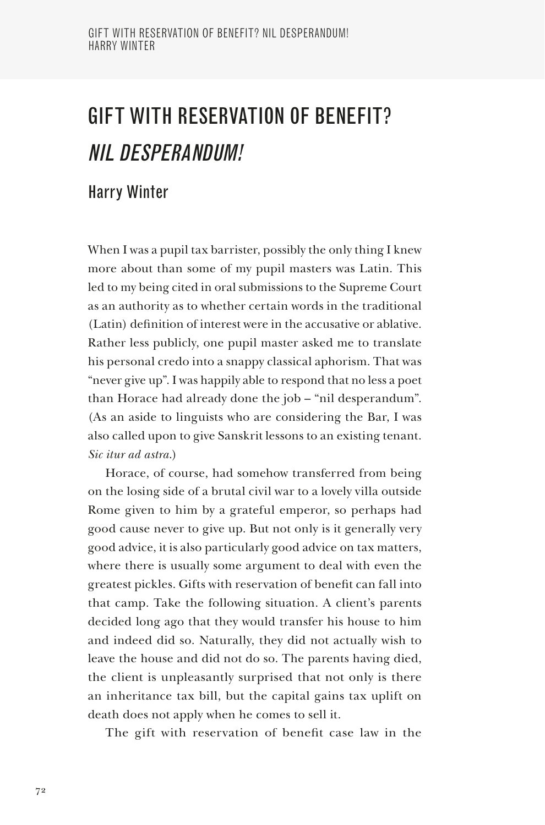## GIFT WITH RESERVATION OF BENEFIT? NIL DESPERANDUM!

## Harry Winter

When I was a pupil tax barrister, possibly the only thing I knew more about than some of my pupil masters was Latin. This led to my being cited in oral submissions to the Supreme Court as an authority as to whether certain words in the traditional (Latin) definition of interest were in the accusative or ablative. Rather less publicly, one pupil master asked me to translate his personal credo into a snappy classical aphorism. That was "never give up". I was happily able to respond that no less a poet than Horace had already done the job – "nil desperandum". (As an aside to linguists who are considering the Bar, I was also called upon to give Sanskrit lessons to an existing tenant. *Sic itur ad astra*.)

Horace, of course, had somehow transferred from being on the losing side of a brutal civil war to a lovely villa outside Rome given to him by a grateful emperor, so perhaps had good cause never to give up. But not only is it generally very good advice, it is also particularly good advice on tax matters, where there is usually some argument to deal with even the greatest pickles. Gifts with reservation of benefit can fall into that camp. Take the following situation. A client's parents decided long ago that they would transfer his house to him and indeed did so. Naturally, they did not actually wish to leave the house and did not do so. The parents having died, the client is unpleasantly surprised that not only is there an inheritance tax bill, but the capital gains tax uplift on death does not apply when he comes to sell it.

The gift with reservation of benefit case law in the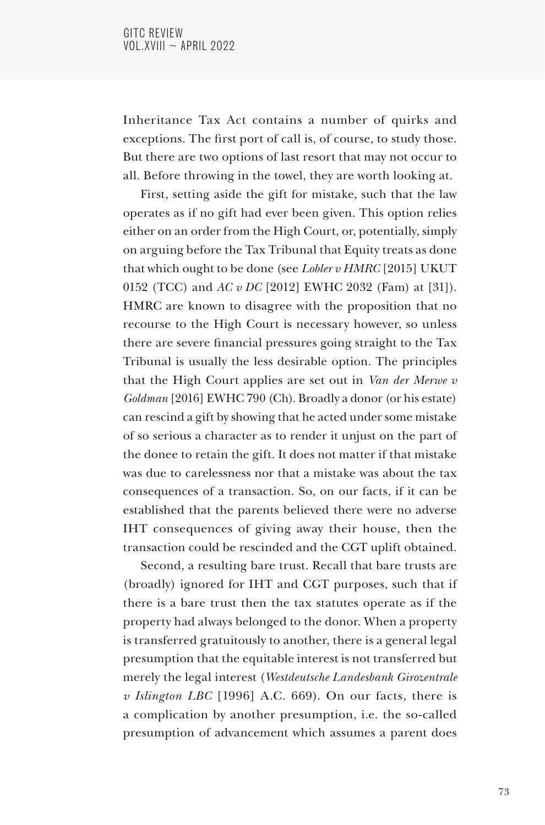Inheritance Tax Act contains a number of quirks and exceptions. The first port of call is, of course, to study those. But there are two options of last resort that may not occur to all. Before throwing in the towel, they are worth looking at.

First, setting aside the gift for mistake, such that the law operates as if no gift had ever been given. This option relies either on an order from the High Court, or, potentially, simply on arguing before the Tax Tribunal that Equity treats as done that which ought to be done (see *Lobler v HMRC* [2015] UKUT 0152 (TCC) and *AC v DC* [2012] EWHC 2032 (Fam) at [31]). HMRC are known to disagree with the proposition that no recourse to the High Court is necessary however, so unless there are severe financial pressures going straight to the Tax Tribunal is usually the less desirable option. The principles that the High Court applies are set out in *Van der Merwe v Goldman* [2016] EWHC 790 (Ch). Broadly a donor (or his estate) can rescind a gift by showing that he acted under some mistake of so serious a character as to render it unjust on the part of the donee to retain the gift. It does not matter if that mistake was due to carelessness nor that a mistake was about the tax consequences of a transaction. So, on our facts, if it can be established that the parents believed there were no adverse IHT consequences of giving away their house, then the transaction could be rescinded and the CGT uplift obtained.

Second, a resulting bare trust. Recall that bare trusts are (broadly) ignored for IHT and CGT purposes, such that if there is a bare trust then the tax statutes operate as if the property had always belonged to the donor. When a property is transferred gratuitously to another, there is a general legal presumption that the equitable interest is not transferred but merely the legal interest (*Westdeutsche Landesbank Girozentrale v Islington LBC* [1996] A.C. 669). On our facts, there is a complication by another presumption, i.e. the so-called presumption of advancement which assumes a parent does